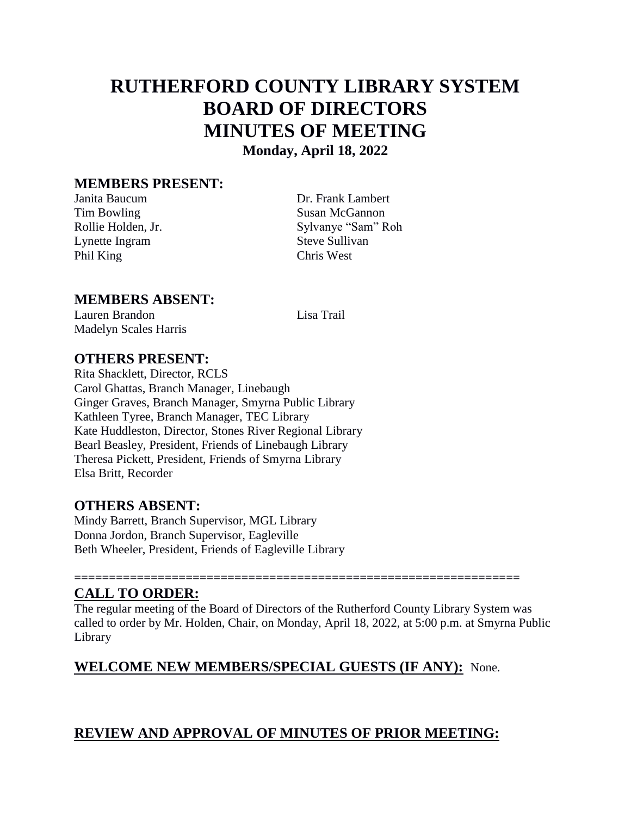# **RUTHERFORD COUNTY LIBRARY SYSTEM BOARD OF DIRECTORS MINUTES OF MEETING Monday, April 18, 2022**

#### **MEMBERS PRESENT:**

Lynette Ingram Steve Sullivan Phil King Chris West

Janita Baucum Dr. Frank Lambert Tim Bowling Susan McGannon Rollie Holden, Jr. Sylvanye "Sam" Roh

#### **MEMBERS ABSENT:**

Lauren Brandon Lisa Trail Madelyn Scales Harris

#### **OTHERS PRESENT:**

Rita Shacklett, Director, RCLS Carol Ghattas, Branch Manager, Linebaugh Ginger Graves, Branch Manager, Smyrna Public Library Kathleen Tyree, Branch Manager, TEC Library Kate Huddleston, Director, Stones River Regional Library Bearl Beasley, President, Friends of Linebaugh Library Theresa Pickett, President, Friends of Smyrna Library Elsa Britt, Recorder

#### **OTHERS ABSENT:**

Mindy Barrett, Branch Supervisor, MGL Library Donna Jordon, Branch Supervisor, Eagleville Beth Wheeler, President, Friends of Eagleville Library

# **CALL TO ORDER:**

The regular meeting of the Board of Directors of the Rutherford County Library System was called to order by Mr. Holden, Chair, on Monday, April 18, 2022, at 5:00 p.m. at Smyrna Public Library

================================================================

# **WELCOME NEW MEMBERS/SPECIAL GUESTS (IF ANY):** None.

# **REVIEW AND APPROVAL OF MINUTES OF PRIOR MEETING:**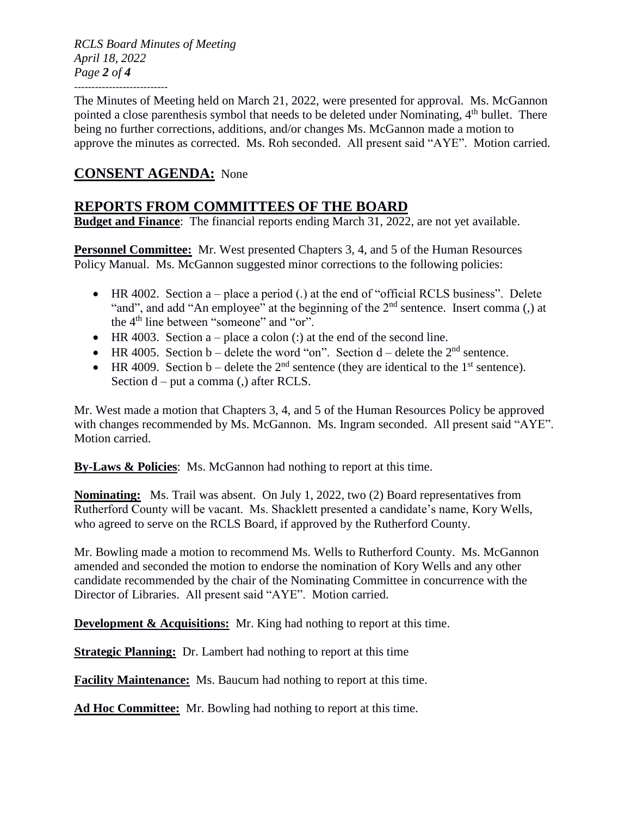*RCLS Board Minutes of Meeting April 18, 2022 Page 2 of 4* ---------------------------

The Minutes of Meeting held on March 21, 2022, were presented for approval. Ms. McGannon pointed a close parenthesis symbol that needs to be deleted under Nominating,  $4<sup>th</sup>$  bullet. There being no further corrections, additions, and/or changes Ms. McGannon made a motion to approve the minutes as corrected. Ms. Roh seconded. All present said "AYE". Motion carried.

# **CONSENT AGENDA:** None

# **REPORTS FROM COMMITTEES OF THE BOARD**

**Budget and Finance**: The financial reports ending March 31, 2022, are not yet available.

**Personnel Committee:** Mr. West presented Chapters 3, 4, and 5 of the Human Resources Policy Manual. Ms. McGannon suggested minor corrections to the following policies:

- $\bullet$  HR 4002. Section a place a period (.) at the end of "official RCLS business". Delete "and", and add "An employee" at the beginning of the 2<sup>nd</sup> sentence. Insert comma (,) at the 4<sup>th</sup> line between "someone" and "or".
- $\bullet$  HR 4003. Section a place a colon (:) at the end of the second line.
- HR 4005. Section b delete the word "on". Section d delete the  $2<sup>nd</sup>$  sentence.
- $\bullet$  HR 4009. Section b delete the 2<sup>nd</sup> sentence (they are identical to the 1<sup>st</sup> sentence). Section d – put a comma (,) after RCLS.

Mr. West made a motion that Chapters 3, 4, and 5 of the Human Resources Policy be approved with changes recommended by Ms. McGannon. Ms. Ingram seconded. All present said "AYE". Motion carried.

**By-Laws & Policies**: Ms. McGannon had nothing to report at this time.

**Nominating:** Ms. Trail was absent. On July 1, 2022, two (2) Board representatives from Rutherford County will be vacant. Ms. Shacklett presented a candidate's name, Kory Wells, who agreed to serve on the RCLS Board, if approved by the Rutherford County.

Mr. Bowling made a motion to recommend Ms. Wells to Rutherford County. Ms. McGannon amended and seconded the motion to endorse the nomination of Kory Wells and any other candidate recommended by the chair of the Nominating Committee in concurrence with the Director of Libraries. All present said "AYE". Motion carried.

**Development & Acquisitions:** Mr. King had nothing to report at this time.

**Strategic Planning:** Dr. Lambert had nothing to report at this time

**Facility Maintenance:** Ms. Baucum had nothing to report at this time.

**Ad Hoc Committee:** Mr. Bowling had nothing to report at this time.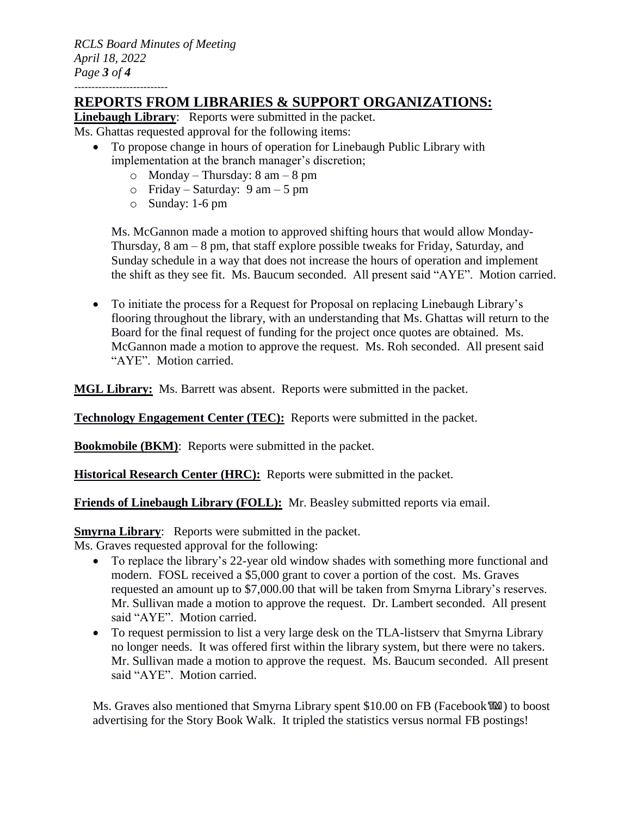*RCLS Board Minutes of Meeting April 18, 2022 Page 3 of 4* ---------------------------

# **REPORTS FROM LIBRARIES & SUPPORT ORGANIZATIONS:**

**Linebaugh Library**: Reports were submitted in the packet.

Ms. Ghattas requested approval for the following items:

- To propose change in hours of operation for Linebaugh Public Library with implementation at the branch manager's discretion;
	- $\circ$  Monday Thursday: 8 am 8 pm
	- $\circ$  Friday Saturday: 9 am 5 pm
	- o Sunday: 1-6 pm

Ms. McGannon made a motion to approved shifting hours that would allow Monday-Thursday, 8 am – 8 pm, that staff explore possible tweaks for Friday, Saturday, and Sunday schedule in a way that does not increase the hours of operation and implement the shift as they see fit. Ms. Baucum seconded. All present said "AYE". Motion carried.

 To initiate the process for a Request for Proposal on replacing Linebaugh Library's flooring throughout the library, with an understanding that Ms. Ghattas will return to the Board for the final request of funding for the project once quotes are obtained. Ms. McGannon made a motion to approve the request. Ms. Roh seconded. All present said "AYE". Motion carried.

**MGL Library:** Ms. Barrett was absent. Reports were submitted in the packet.

**Technology Engagement Center (TEC):** Reports were submitted in the packet.

**Bookmobile (BKM)**: Reports were submitted in the packet.

**Historical Research Center (HRC):** Reports were submitted in the packet.

**Friends of Linebaugh Library (FOLL):** Mr. Beasley submitted reports via email.

**Smyrna Library:** Reports were submitted in the packet.

Ms. Graves requested approval for the following:

- To replace the library's 22-year old window shades with something more functional and modern. FOSL received a \$5,000 grant to cover a portion of the cost. Ms. Graves requested an amount up to \$7,000.00 that will be taken from Smyrna Library's reserves. Mr. Sullivan made a motion to approve the request. Dr. Lambert seconded. All present said "AYE". Motion carried.
- To request permission to list a very large desk on the TLA-listserv that Smyrna Library no longer needs. It was offered first within the library system, but there were no takers. Mr. Sullivan made a motion to approve the request. Ms. Baucum seconded. All present said "AYE". Motion carried.

Ms. Graves also mentioned that Smyrna Library spent \$10.00 on FB (Facebook™) to boost advertising for the Story Book Walk. It tripled the statistics versus normal FB postings!